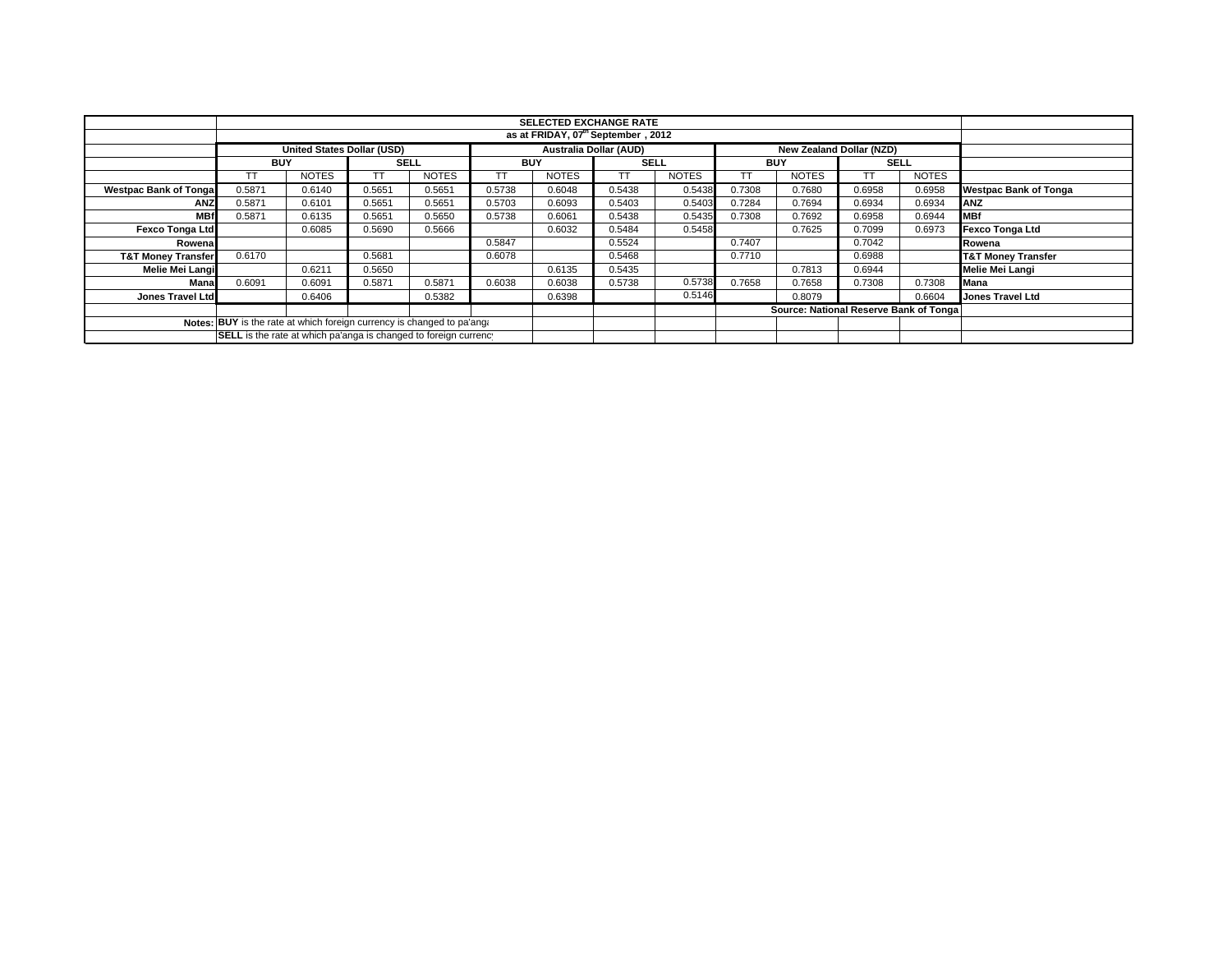|                                                                        |            | <b>SELECTED EXCHANGE RATE</b>                  |             |              |            |                               |             |              |            |                                        |                          |              |                               |
|------------------------------------------------------------------------|------------|------------------------------------------------|-------------|--------------|------------|-------------------------------|-------------|--------------|------------|----------------------------------------|--------------------------|--------------|-------------------------------|
|                                                                        |            | as at FRIDAY, 07 <sup>th</sup> September, 2012 |             |              |            |                               |             |              |            |                                        |                          |              |                               |
|                                                                        |            | United States Dollar (USD)                     |             |              |            | <b>Australia Dollar (AUD)</b> |             |              |            |                                        | New Zealand Dollar (NZD) |              |                               |
|                                                                        | <b>BUY</b> |                                                | <b>SELL</b> |              | <b>BUY</b> |                               | <b>SELL</b> |              | <b>BUY</b> |                                        | <b>SELL</b>              |              |                               |
|                                                                        |            | <b>NOTES</b>                                   |             | <b>NOTES</b> |            | <b>NOTES</b>                  | TТ          | <b>NOTES</b> | TT         | <b>NOTES</b>                           |                          | <b>NOTES</b> |                               |
| <b>Westpac Bank of Tonga</b>                                           | 0.5871     | 0.6140                                         | 0.5651      | 0.5651       | 0.5738     | 0.6048                        | 0.5438      | 0.5438       | 0.7308     | 0.7680                                 | 0.6958                   | 0.6958       | <b>Westpac Bank of Tonga</b>  |
| <b>ANZ</b>                                                             | 0.5871     | 0.6101                                         | 0.5651      | 0.5651       | 0.5703     | 0.6093                        | 0.5403      | 0.5403       | 0.7284     | 0.7694                                 | 0.6934                   | 0.6934       | ANZ                           |
| <b>MBf</b>                                                             | 0.5871     | 0.6135                                         | 0.5651      | 0.5650       | 0.5738     | 0.6061                        | 0.5438      | 0.5435       | 0.7308     | 0.7692                                 | 0.6958                   | 0.6944       | <b>MBf</b>                    |
| <b>Fexco Tonga Ltd</b>                                                 |            | 0.6085                                         | 0.5690      | 0.5666       |            | 0.6032                        | 0.5484      | 0.5458       |            | 0.7625                                 | 0.7099                   | 0.6973       | Fexco Tonga Ltd               |
| Rowena                                                                 |            |                                                |             |              | 0.5847     |                               | 0.5524      |              | 0.7407     |                                        | 0.7042                   |              | Rowena                        |
| <b>T&amp;T Money Transfer</b>                                          | 0.6170     |                                                | 0.5681      |              | 0.6078     |                               | 0.5468      |              | 0.7710     |                                        | 0.6988                   |              | <b>T&amp;T Money Transfer</b> |
| Melie Mei Langi                                                        |            | 0.6211                                         | 0.5650      |              |            | 0.6135                        | 0.5435      |              |            | 0.7813                                 | 0.6944                   |              | Melie Mei Langi               |
| Mana                                                                   | 0.6091     | 0.6091                                         | 0.5871      | 0.5871       | 0.6038     | 0.6038                        | 0.5738      | 0.5738       | 0.7658     | 0.7658                                 | 0.7308                   | 0.7308       | <b>Mana</b>                   |
| <b>Jones Travel Ltd</b>                                                |            | 0.6406                                         |             | 0.5382       |            | 0.6398                        |             | 0.5146       |            | 0.8079                                 |                          | 0.6604       | <b>Jones Travel Ltd</b>       |
|                                                                        |            |                                                |             |              |            |                               |             |              |            | Source: National Reserve Bank of Tonga |                          |              |                               |
| Notes: BUY is the rate at which foreign currency is changed to pa'ang. |            |                                                |             |              |            |                               |             |              |            |                                        |                          |              |                               |
| SELL is the rate at which pa'anga is changed to foreign currency       |            |                                                |             |              |            |                               |             |              |            |                                        |                          |              |                               |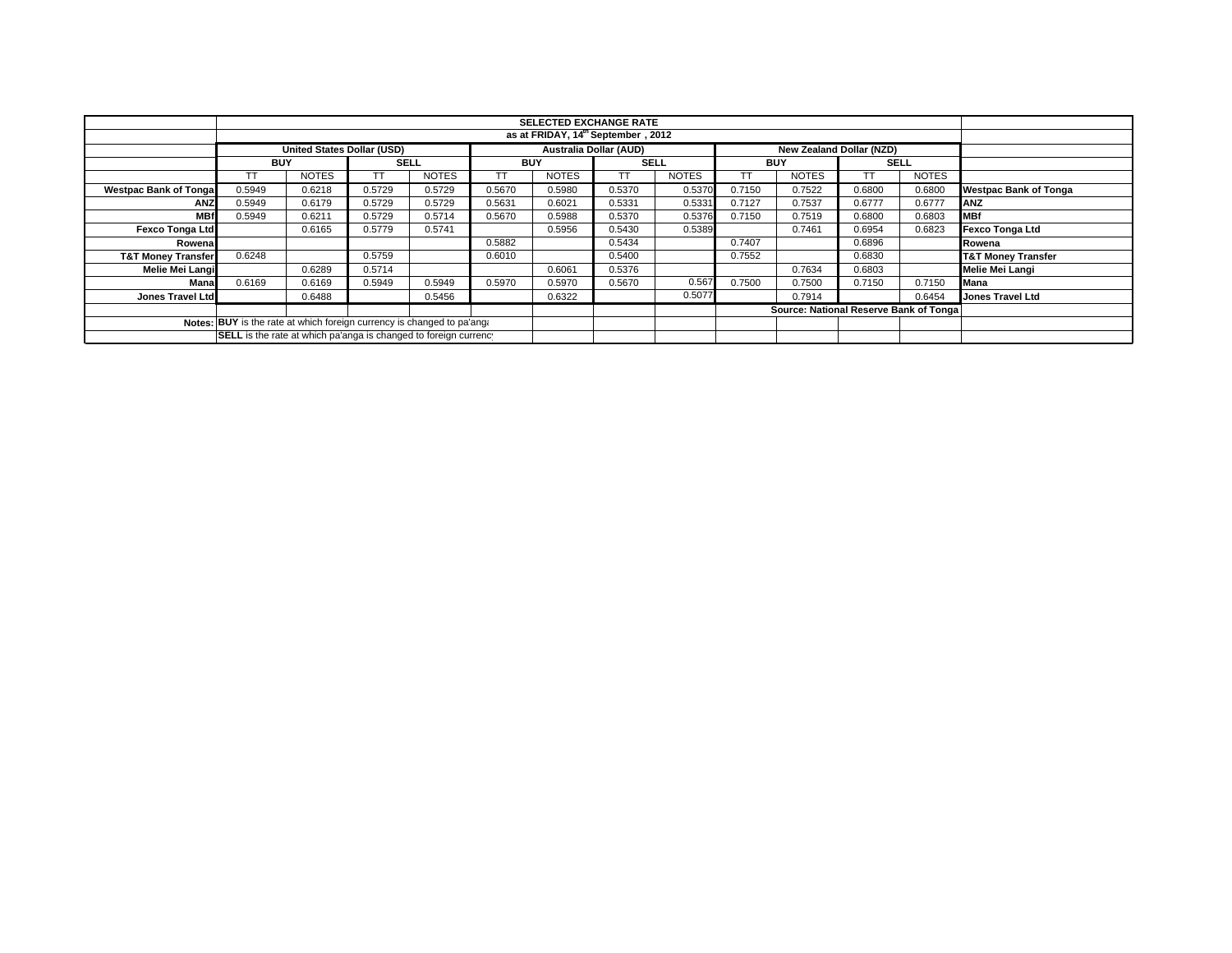|                                                                        |            |                                    |             |              |            | <b>SELECTED EXCHANGE RATE</b> |             |              |            |                                        |                          |              |                               |
|------------------------------------------------------------------------|------------|------------------------------------|-------------|--------------|------------|-------------------------------|-------------|--------------|------------|----------------------------------------|--------------------------|--------------|-------------------------------|
|                                                                        |            | as at FRIDAY, 14th September, 2012 |             |              |            |                               |             |              |            |                                        |                          |              |                               |
|                                                                        |            | United States Dollar (USD)         |             |              |            | <b>Australia Dollar (AUD)</b> |             |              |            |                                        | New Zealand Dollar (NZD) |              |                               |
|                                                                        | <b>BUY</b> |                                    | <b>SELL</b> |              | <b>BUY</b> |                               | <b>SELL</b> |              | <b>BUY</b> |                                        | <b>SELL</b>              |              |                               |
|                                                                        |            | <b>NOTES</b>                       |             | <b>NOTES</b> |            | <b>NOTES</b>                  | TТ          | <b>NOTES</b> | TT         | <b>NOTES</b>                           |                          | <b>NOTES</b> |                               |
| <b>Westpac Bank of Tonga</b>                                           | 0.5949     | 0.6218                             | 0.5729      | 0.5729       | 0.5670     | 0.5980                        | 0.5370      | 0.5370       | 0.7150     | 0.7522                                 | 0.6800                   | 0.6800       | <b>Westpac Bank of Tonga</b>  |
| <b>ANZ</b>                                                             | 0.5949     | 0.6179                             | 0.5729      | 0.5729       | 0.5631     | 0.6021                        | 0.5331      | 0.5331       | 0.7127     | 0.7537                                 | 0.6777                   | 0.6777       | ANZ                           |
| <b>MBf</b>                                                             | 0.5949     | 0.6211                             | 0.5729      | 0.5714       | 0.5670     | 0.5988                        | 0.5370      | 0.5376       | 0.7150     | 0.7519                                 | 0.6800                   | 0.6803       | <b>IMBf</b>                   |
| <b>Fexco Tonga Ltd</b>                                                 |            | 0.6165                             | 0.5779      | 0.5741       |            | 0.5956                        | 0.5430      | 0.5389       |            | 0.7461                                 | 0.6954                   | 0.6823       | Fexco Tonga Ltd               |
| Rowena                                                                 |            |                                    |             |              | 0.5882     |                               | 0.5434      |              | 0.7407     |                                        | 0.6896                   |              | Rowena                        |
| <b>T&amp;T Money Transfer</b>                                          | 0.6248     |                                    | 0.5759      |              | 0.6010     |                               | 0.5400      |              | 0.7552     |                                        | 0.6830                   |              | <b>T&amp;T Money Transfer</b> |
| Melie Mei Langi                                                        |            | 0.6289                             | 0.5714      |              |            | 0.6061                        | 0.5376      |              |            | 0.7634                                 | 0.6803                   |              | Melie Mei Langi               |
| Mana                                                                   | 0.6169     | 0.6169                             | 0.5949      | 0.5949       | 0.5970     | 0.5970                        | 0.5670      | 0.567        | 0.7500     | 0.7500                                 | 0.7150                   | 0.7150       | <b>Mana</b>                   |
| <b>Jones Travel Ltd</b>                                                |            | 0.6488                             |             | 0.5456       |            | 0.6322                        |             | 0.5077       |            | 0.7914                                 |                          | 0.6454       | <b>Jones Travel Ltd</b>       |
|                                                                        |            |                                    |             |              |            |                               |             |              |            | Source: National Reserve Bank of Tonga |                          |              |                               |
| Notes: BUY is the rate at which foreign currency is changed to pa'ang. |            |                                    |             |              |            |                               |             |              |            |                                        |                          |              |                               |
| SELL is the rate at which pa'anga is changed to foreign currency       |            |                                    |             |              |            |                               |             |              |            |                                        |                          |              |                               |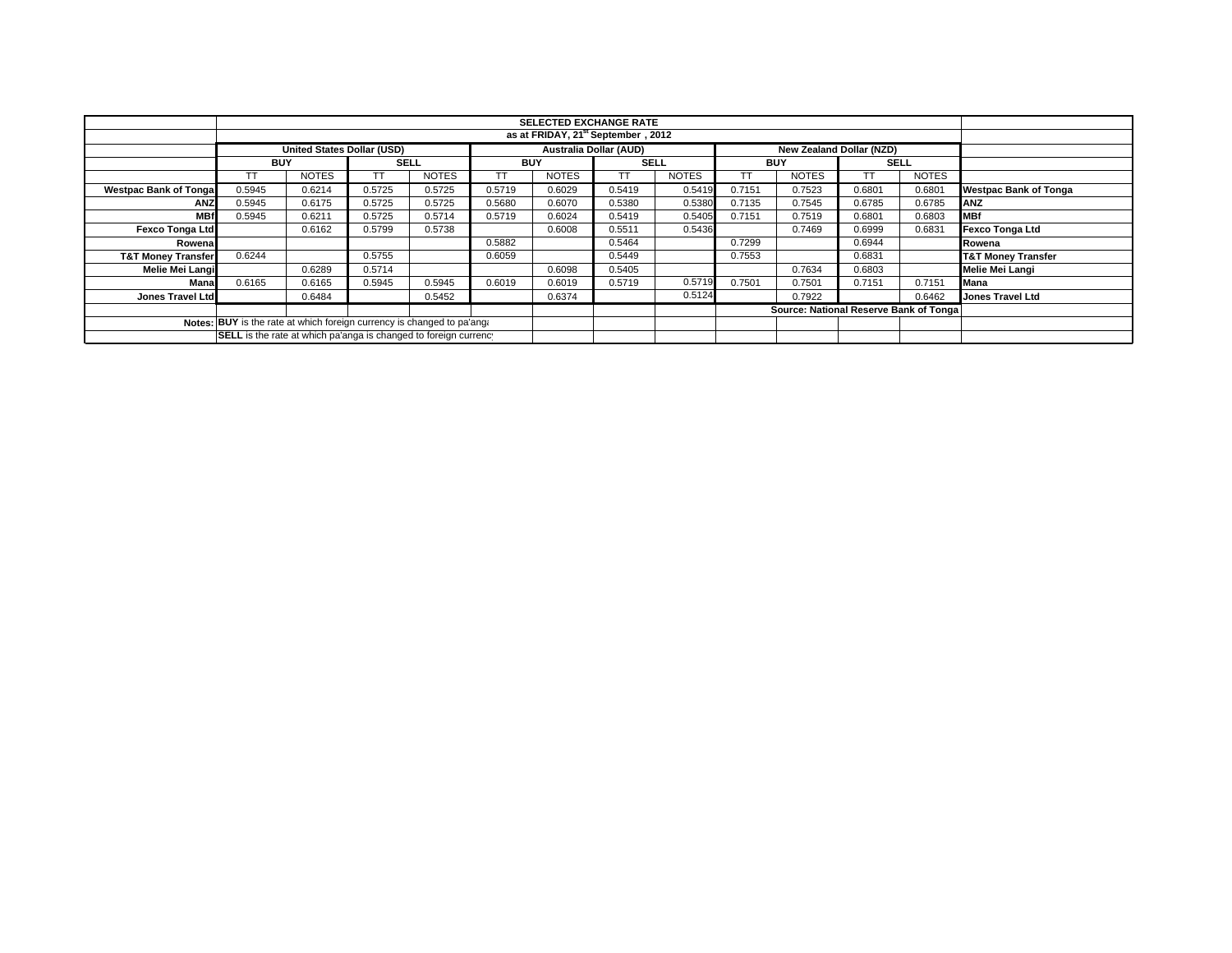|                                                                        |                                                | <b>SELECTED EXCHANGE RATE</b> |             |              |            |              |                               |              |            |                                        |                                 |              |                               |
|------------------------------------------------------------------------|------------------------------------------------|-------------------------------|-------------|--------------|------------|--------------|-------------------------------|--------------|------------|----------------------------------------|---------------------------------|--------------|-------------------------------|
|                                                                        | as at FRIDAY, 21 <sup>st</sup> September, 2012 |                               |             |              |            |              |                               |              |            |                                        |                                 |              |                               |
|                                                                        |                                                | United States Dollar (USD)    |             |              |            |              | <b>Australia Dollar (AUD)</b> |              |            |                                        | <b>New Zealand Dollar (NZD)</b> |              |                               |
|                                                                        | <b>BUY</b>                                     |                               | <b>SELL</b> |              | <b>BUY</b> |              | <b>SELL</b>                   |              | <b>BUY</b> |                                        | <b>SELL</b>                     |              |                               |
|                                                                        |                                                | <b>NOTES</b>                  |             | <b>NOTES</b> |            | <b>NOTES</b> | TТ                            | <b>NOTES</b> | TT         | <b>NOTES</b>                           |                                 | <b>NOTES</b> |                               |
| <b>Westpac Bank of Tonga</b>                                           | 0.5945                                         | 0.6214                        | 0.5725      | 0.5725       | 0.5719     | 0.6029       | 0.5419                        | 0.5419       | 0.7151     | 0.7523                                 | 0.6801                          | 0.6801       | <b>Westpac Bank of Tonga</b>  |
| <b>ANZ</b>                                                             | 0.5945                                         | 0.6175                        | 0.5725      | 0.5725       | 0.5680     | 0.6070       | 0.5380                        | 0.5380       | 0.7135     | 0.7545                                 | 0.6785                          | 0.6785       | ANZ                           |
| <b>MBf</b>                                                             | 0.5945                                         | 0.6211                        | 0.5725      | 0.5714       | 0.5719     | 0.6024       | 0.5419                        | 0.5405       | 0.7151     | 0.7519                                 | 0.6801                          | 0.6803       | <b>MBf</b>                    |
| <b>Fexco Tonga Ltd</b>                                                 |                                                | 0.6162                        | 0.5799      | 0.5738       |            | 0.6008       | 0.5511                        | 0.5436       |            | 0.7469                                 | 0.6999                          | 0.6831       | Fexco Tonga Ltd               |
| Rowena                                                                 |                                                |                               |             |              | 0.5882     |              | 0.5464                        |              | 0.7299     |                                        | 0.6944                          |              | Rowena                        |
| <b>T&amp;T Money Transfer</b>                                          | 0.6244                                         |                               | 0.5755      |              | 0.6059     |              | 0.5449                        |              | 0.7553     |                                        | 0.6831                          |              | <b>T&amp;T Money Transfer</b> |
| Melie Mei Langi                                                        |                                                | 0.6289                        | 0.5714      |              |            | 0.6098       | 0.5405                        |              |            | 0.7634                                 | 0.6803                          |              | Melie Mei Langi               |
| Mana                                                                   | 0.6165                                         | 0.6165                        | 0.5945      | 0.5945       | 0.6019     | 0.6019       | 0.5719                        | 0.5719       | 0.7501     | 0.7501                                 | 0.7151                          | 0.7151       | <b>Mana</b>                   |
| Jones Travel Ltd                                                       |                                                | 0.6484                        |             | 0.5452       |            | 0.6374       |                               | 0.5124       |            | 0.7922                                 |                                 | 0.6462       | <b>Jones Travel Ltd</b>       |
|                                                                        |                                                |                               |             |              |            |              |                               |              |            | Source: National Reserve Bank of Tonga |                                 |              |                               |
| Notes: BUY is the rate at which foreign currency is changed to pa'ang: |                                                |                               |             |              |            |              |                               |              |            |                                        |                                 |              |                               |
| SELL is the rate at which pa'anga is changed to foreign currency       |                                                |                               |             |              |            |              |                               |              |            |                                        |                                 |              |                               |